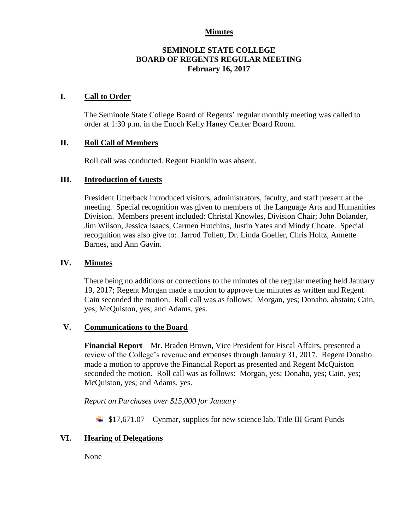#### **Minutes**

#### **SEMINOLE STATE COLLEGE BOARD OF REGENTS REGULAR MEETING February 16, 2017**

#### **I. Call to Order**

The Seminole State College Board of Regents' regular monthly meeting was called to order at 1:30 p.m. in the Enoch Kelly Haney Center Board Room.

#### **II. Roll Call of Members**

Roll call was conducted. Regent Franklin was absent.

#### **III. Introduction of Guests**

President Utterback introduced visitors, administrators, faculty, and staff present at the meeting. Special recognition was given to members of the Language Arts and Humanities Division. Members present included: Christal Knowles, Division Chair; John Bolander, Jim Wilson, Jessica Isaacs, Carmen Hutchins, Justin Yates and Mindy Choate. Special recognition was also give to: Jarrod Tollett, Dr. Linda Goeller, Chris Holtz, Annette Barnes, and Ann Gavin.

#### **IV. Minutes**

There being no additions or corrections to the minutes of the regular meeting held January 19, 2017; Regent Morgan made a motion to approve the minutes as written and Regent Cain seconded the motion. Roll call was as follows: Morgan, yes; Donaho, abstain; Cain, yes; McQuiston, yes; and Adams, yes.

# **V. Communications to the Board**

**Financial Report** – Mr. Braden Brown, Vice President for Fiscal Affairs, presented a review of the College's revenue and expenses through January 31, 2017. Regent Donaho made a motion to approve the Financial Report as presented and Regent McQuiston seconded the motion. Roll call was as follows: Morgan, yes; Donaho, yes; Cain, yes; McQuiston, yes; and Adams, yes.

*Report on Purchases over \$15,000 for January*

 $\frac{1}{2}$  \$17,671.07 – Cynmar, supplies for new science lab, Title III Grant Funds

# **VI. Hearing of Delegations**

None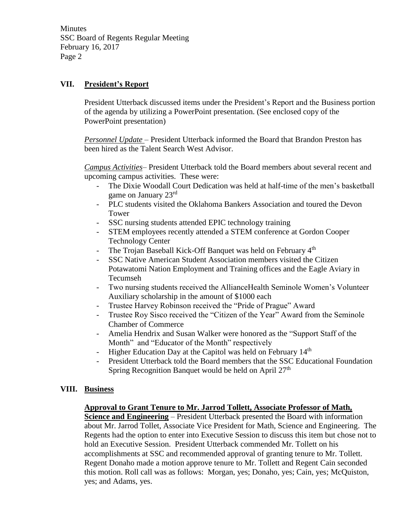**Minutes** SSC Board of Regents Regular Meeting February 16, 2017 Page 2

# **VII. President's Report**

President Utterback discussed items under the President's Report and the Business portion of the agenda by utilizing a PowerPoint presentation. (See enclosed copy of the PowerPoint presentation)

*Personnel Update* – President Utterback informed the Board that Brandon Preston has been hired as the Talent Search West Advisor.

*Campus Activities*– President Utterback told the Board members about several recent and upcoming campus activities. These were:

- The Dixie Woodall Court Dedication was held at half-time of the men's basketball game on January 23rd
- PLC students visited the Oklahoma Bankers Association and toured the Devon Tower
- SSC nursing students attended EPIC technology training
- STEM employees recently attended a STEM conference at Gordon Cooper Technology Center
- The Trojan Baseball Kick-Off Banquet was held on February 4<sup>th</sup>
- SSC Native American Student Association members visited the Citizen Potawatomi Nation Employment and Training offices and the Eagle Aviary in Tecumseh
- Two nursing students received the AllianceHealth Seminole Women's Volunteer Auxiliary scholarship in the amount of \$1000 each
- Trustee Harvey Robinson received the "Pride of Prague" Award
- Trustee Roy Sisco received the "Citizen of the Year" Award from the Seminole Chamber of Commerce
- Amelia Hendrix and Susan Walker were honored as the "Support Staff of the Month" and "Educator of the Month" respectively
- Higher Education Day at the Capitol was held on February 14<sup>th</sup>
- President Utterback told the Board members that the SSC Educational Foundation Spring Recognition Banquet would be held on April  $27<sup>th</sup>$

# **VIII. Business**

# **Approval to Grant Tenure to Mr. Jarrod Tollett, Associate Professor of Math,**

**Science and Engineering** – President Utterback presented the Board with information about Mr. Jarrod Tollet, Associate Vice President for Math, Science and Engineering. The Regents had the option to enter into Executive Session to discuss this item but chose not to hold an Executive Session. President Utterback commended Mr. Tollett on his accomplishments at SSC and recommended approval of granting tenure to Mr. Tollett. Regent Donaho made a motion approve tenure to Mr. Tollett and Regent Cain seconded this motion. Roll call was as follows: Morgan, yes; Donaho, yes; Cain, yes; McQuiston, yes; and Adams, yes.